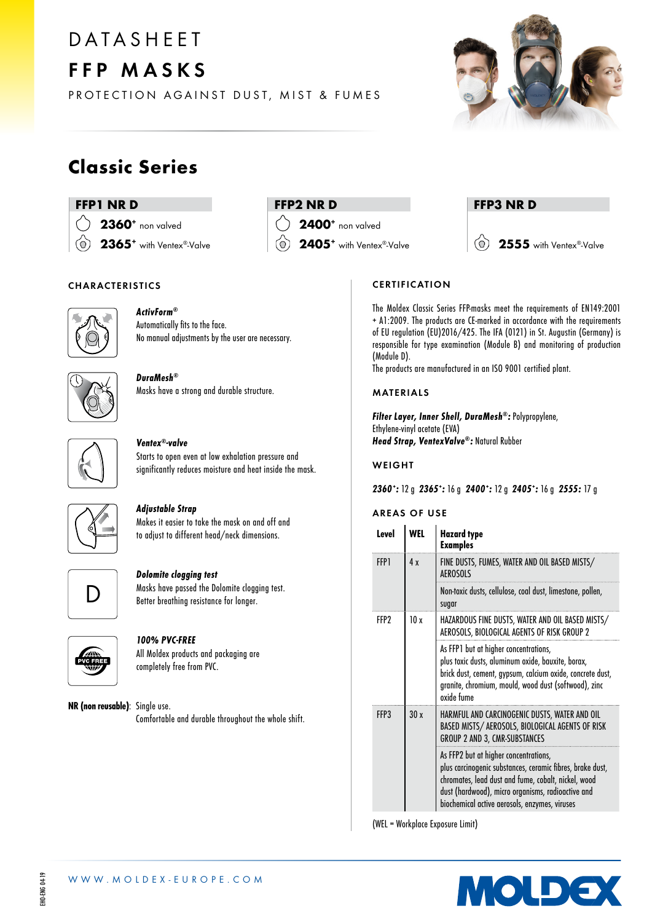# **DATASHEET** FFP MASKS



PROTECTION AGAINST DUST, MIST & FUMES

### Classic Series

#### FFP1 NR D

2360<sup>+</sup> non valved 2365<sup>+</sup> with Ventex®-Valve ര്

### FFP2 NR D

2400<sup>+</sup> non valved

2405<sup>+</sup> with Ventex®-Valve

#### FFP3 NR D

 $\circ$ 2555 with Ventex®-Valve

#### CHARACTERISTICS



#### ActivForm® Automatically fits to the face. No manual adjustments by the user are necessary.

#### DuraMesh® Masks have a strong and durable structure.



#### Ventex®-valve Starts to open even at low exhalation pressure and

significantly reduces moisture and heat inside the mask.



#### Adjustable Strap

Makes it easier to take the mask on and off and to adjust to different head/neck dimensions.



#### Dolomite clogging test

Masks have passed the Dolomite clogging test. Better breathing resistance for longer.



#### 100% PVC-FREE

All Moldex products and packaging are completely free from PVC.

NR (non reusable): Single use. Comfortable and durable throughout the whole shift.

#### **CERTIFICATION**

The Moldex Classic Series FFP-masks meet the requirements of EN149:2001 + A1:2009. The products are CE-marked in accordance with the requirements of EU regulation (EU)2016/425. The IFA (0121) in St. Augustin (Germany) is responsible for type examination (Module B) and monitoring of production (Module D).

The products are manufactured in an ISO 9001 certified plant.

#### MATERIALS

Filter Layer, Inner Shell, DuraMesh®: Polypropylene, Ethylene-vinyl acetate (EVA) Head Strap, VentexValve®: Natural Rubber

#### WEIGHT

2360: 12 g 2365: 16 g 2400: 12 g 2405: 16 g 2555: 17 g

#### AREAS OF USE

| Level       | WFL | <b>Hazard type</b><br><b>Examples</b>                                                                                                                                                                                                                           |
|-------------|-----|-----------------------------------------------------------------------------------------------------------------------------------------------------------------------------------------------------------------------------------------------------------------|
| <b>FFP1</b> | 4 x | FINE DUSTS, FUMES, WATER AND OIL BASED MISTS/<br><b>AFROSOLS</b>                                                                                                                                                                                                |
|             |     | Non-toxic dusts, cellulose, coal dust, limestone, pollen,<br>sugar                                                                                                                                                                                              |
| FFP?        | 10x | HAZARDOUS FINE DUSTS, WATER AND OIL BASED MISTS/<br>AEROSOLS, BIOLOGICAL AGENTS OF RISK GROUP 2                                                                                                                                                                 |
|             |     | As FFP1 but at higher concentrations,<br>plus toxic dusts, aluminum oxide, bauxite, borax,<br>brick dust, cement, gypsum, calcium oxide, concrete dust,<br>granite, chromium, mould, wood dust (softwood), zinc<br>oxide fume                                   |
| FFP3        | 30x | HARMFUL AND CARCINOGENIC DUSTS, WATER AND OIL<br>BASED MISTS/ AEROSOLS, BIOLOGICAL AGENTS OF RISK<br><b>GROUP 2 AND 3, CMR-SUBSTANCES</b>                                                                                                                       |
|             |     | As FFP2 but at higher concentrations,<br>plus carcinogenic substances, ceramic fibres, brake dust,<br>chromates, lead dust and fume, cobalt, nickel, wood<br>dust (hardwood), micro organisms, radioactive and<br>biochemical active aerosols, enzymes, viruses |

(WEL = Workplace Exposure Limit)